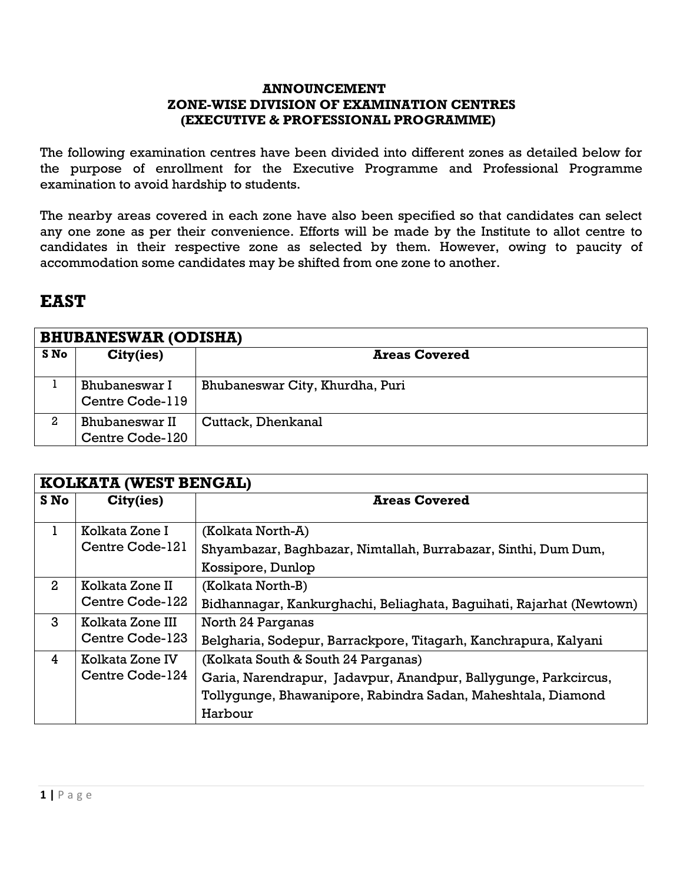### **ANNOUNCEMENT ZONE-WISE DIVISION OF EXAMINATION CENTRES (EXECUTIVE & PROFESSIONAL PROGRAMME)**

The following examination centres have been divided into different zones as detailed below for the purpose of enrollment for the Executive Programme and Professional Programme examination to avoid hardship to students.

The nearby areas covered in each zone have also been specified so that candidates can select any one zone as per their convenience. Efforts will be made by the Institute to allot centre to candidates in their respective zone as selected by them. However, owing to paucity of accommodation some candidates may be shifted from one zone to another.

## **EAST**

|      | <b>BHUBANESWAR (ODISHA)</b>       |                                 |  |
|------|-----------------------------------|---------------------------------|--|
| S No | City(ies)                         | <b>Areas Covered</b>            |  |
|      | Bhubaneswar I<br>Centre Code-119  | Bhubaneswar City, Khurdha, Puri |  |
| 2    | Bhubaneswar II<br>Centre Code-120 | Cuttack, Dhenkanal              |  |

|              | KOLKATA (WEST BENGAL) |                                                                      |  |
|--------------|-----------------------|----------------------------------------------------------------------|--|
| S No         | City(ies)             | <b>Areas Covered</b>                                                 |  |
|              |                       |                                                                      |  |
| ı            | Kolkata Zone I        | (Kolkata North-A)                                                    |  |
|              | Centre Code-121       | Shyambazar, Baghbazar, Nimtallah, Burrabazar, Sinthi, Dum Dum,       |  |
|              |                       | Kossipore, Dunlop                                                    |  |
| $\mathbf{2}$ | Kolkata Zone II       | (Kolkata North-B)                                                    |  |
|              | Centre Code-122       | Bidhannagar, Kankurghachi, Beliaghata, Baguihati, Rajarhat (Newtown) |  |
| 3            | Kolkata Zone III      | North 24 Parganas                                                    |  |
|              | Centre Code-123       | Belgharia, Sodepur, Barrackpore, Titagarh, Kanchrapura, Kalyani      |  |
| 4            | Kolkata Zone IV       | (Kolkata South & South 24 Parganas)                                  |  |
|              | Centre Code-124       | Garia, Narendrapur, Jadavpur, Anandpur, Ballygunge, Parkcircus,      |  |
|              |                       | Tollygunge, Bhawanipore, Rabindra Sadan, Maheshtala, Diamond         |  |
|              |                       | Harbour                                                              |  |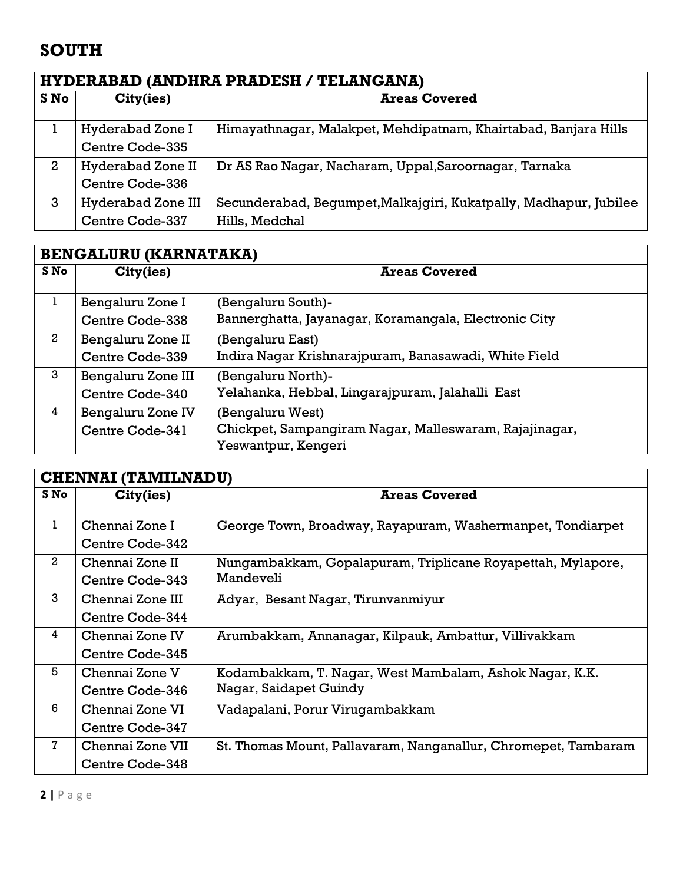# **SOUTH**

| <b>HYDERABAD (ANDHRA PRADESH / TELANGANA)</b> |                    |                                                                   |
|-----------------------------------------------|--------------------|-------------------------------------------------------------------|
| S No                                          | City(ies)          | <b>Areas Covered</b>                                              |
|                                               | Hyderabad Zone I   | Himayathnagar, Malakpet, Mehdipatnam, Khairtabad, Banjara Hills   |
|                                               | Centre Code-335    |                                                                   |
| 2                                             | Hyderabad Zone II  | Dr AS Rao Nagar, Nacharam, Uppal, Saroornagar, Tarnaka            |
|                                               | Centre Code-336    |                                                                   |
| 3                                             | Hyderabad Zone III | Secunderabad, Bequmpet, Malkajqiri, Kukatpally, Madhapur, Jubilee |
|                                               | Centre Code-337    | Hills, Medchal                                                    |

| <b>BENGALURU (KARNATAKA)</b> |                                       |                                                                                                   |
|------------------------------|---------------------------------------|---------------------------------------------------------------------------------------------------|
| S No                         | City(ies)                             | <b>Areas Covered</b>                                                                              |
| $\mathbf{1}$                 | Bengaluru Zone I<br>Centre Code-338   | (Bengaluru South)-<br>Bannerghatta, Jayanagar, Koramangala, Electronic City                       |
| $\mathbf{2}$                 | Bengaluru Zone II<br>Centre Code-339  | (Bengaluru East)<br>Indira Nagar Krishnarajpuram, Banasawadi, White Field                         |
| 3                            | Bengaluru Zone III<br>Centre Code-340 | (Bengaluru North)-<br>Yelahanka, Hebbal, Lingarajpuram, Jalahalli East                            |
| 4                            | Bengaluru Zone IV<br>Centre Code-341  | (Bengaluru West)<br>Chickpet, Sampangiram Nagar, Malleswaram, Rajajinagar,<br>Yeswantpur, Kengeri |

| <b>CHENNAI (TAMILNADU)</b> |                  |                                                                |
|----------------------------|------------------|----------------------------------------------------------------|
| S No                       | City(ies)        | <b>Areas Covered</b>                                           |
| 1                          |                  |                                                                |
|                            | Chennai Zone I   | George Town, Broadway, Rayapuram, Washermanpet, Tondiarpet     |
|                            | Centre Code-342  |                                                                |
| $\mathbf{2}$               | Chennai Zone II  | Nungambakkam, Gopalapuram, Triplicane Royapettah, Mylapore,    |
|                            | Centre Code-343  | Mandeveli                                                      |
| 3                          | Chennai Zone III | Adyar, Besant Nagar, Tirunvanmiyur                             |
|                            | Centre Code-344  |                                                                |
| $\overline{4}$             | Chennai Zone IV  | Arumbakkam, Annanagar, Kilpauk, Ambattur, Villivakkam          |
|                            | Centre Code-345  |                                                                |
| 5                          | Chennai Zone V   | Kodambakkam, T. Nagar, West Mambalam, Ashok Nagar, K.K.        |
|                            | Centre Code-346  | Nagar, Saidapet Guindy                                         |
| 6                          | Chennai Zone VI  | Vadapalani, Porur Virugambakkam                                |
|                            | Centre Code-347  |                                                                |
| 7                          | Chennai Zone VII | St. Thomas Mount, Pallavaram, Nanganallur, Chromepet, Tambaram |
|                            | Centre Code-348  |                                                                |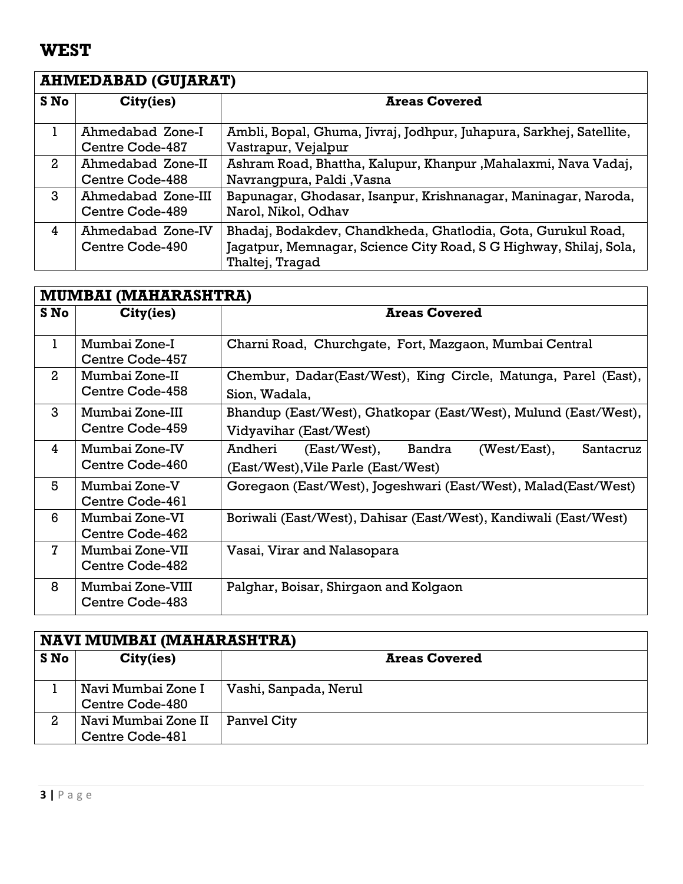## **WEST**

#### **AHMEDABAD (GUJARAT) S No City(ies) Areas Covered** 1 Ahmedabad Zone-I Centre Code-487 Ambli, Bopal, Ghuma, Jivraj, Jodhpur, Juhapura, Sarkhej, Satellite, Vastrapur, Vejalpur 2 Ahmedabad Zone-II Centre Code-488 Ashram Road, Bhattha, Kalupur, Khanpur ,Mahalaxmi, Nava Vadaj, Navrangpura, Paldi ,Vasna 3 Ahmedabad Zone-III Centre Code-489 Bapunagar, Ghodasar, Isanpur, Krishnanagar, Maninagar, Naroda, Narol, Nikol, Odhav 4 Ahmedabad Zone-IV Centre Code-490 Bhadaj, Bodakdev, Chandkheda, Ghatlodia, Gota, Gurukul Road, Jagatpur, Memnagar, Science City Road, S G Highway, Shilaj, Sola, Thaltej, Tragad

|                | <b>MUMBAI (MAHARASHTRA)</b>         |                                                                                                          |  |
|----------------|-------------------------------------|----------------------------------------------------------------------------------------------------------|--|
| S No           | City(ies)                           | <b>Areas Covered</b>                                                                                     |  |
| $\mathbf{1}$   | Mumbai Zone-I<br>Centre Code-457    | Charni Road, Churchgate, Fort, Mazgaon, Mumbai Central                                                   |  |
| $\overline{2}$ | Mumbai Zone-II<br>Centre Code-458   | Chembur, Dadar(East/West), King Circle, Matunga, Parel (East),<br>Sion, Wadala,                          |  |
| 3              | Mumbai Zone-III<br>Centre Code-459  | Bhandup (East/West), Ghatkopar (East/West), Mulund (East/West),<br>Vidyavihar (East/West)                |  |
| 4              | Mumbai Zone-IV<br>Centre Code-460   | Andheri<br>Bandra<br>$(West/East)$ ,<br>(East/West),<br>Santacruz<br>(East/West), Vile Parle (East/West) |  |
| 5              | Mumbai Zone-V<br>Centre Code-461    | Goregaon (East/West), Jogeshwari (East/West), Malad(East/West)                                           |  |
| 6              | Mumbai Zone-VI<br>Centre Code-462   | Boriwali (East/West), Dahisar (East/West), Kandiwali (East/West)                                         |  |
| $\mathbf{7}$   | Mumbai Zone-VII<br>Centre Code-482  | Vasai, Virar and Nalasopara                                                                              |  |
| 8              | Mumbai Zone-VIII<br>Centre Code-483 | Palghar, Boisar, Shirgaon and Kolgaon                                                                    |  |

|      | <b>NAVI MUMBAI (MAHARASHTRA)</b> |                       |  |
|------|----------------------------------|-----------------------|--|
| S No | City(ies)                        | <b>Areas Covered</b>  |  |
|      |                                  |                       |  |
|      | Navi Mumbai Zone I               | Vashi, Sanpada, Nerul |  |
|      | Centre Code-480                  |                       |  |
| 2    | Navi Mumbai Zone II              | Panvel City           |  |
|      | Centre Code-481                  |                       |  |